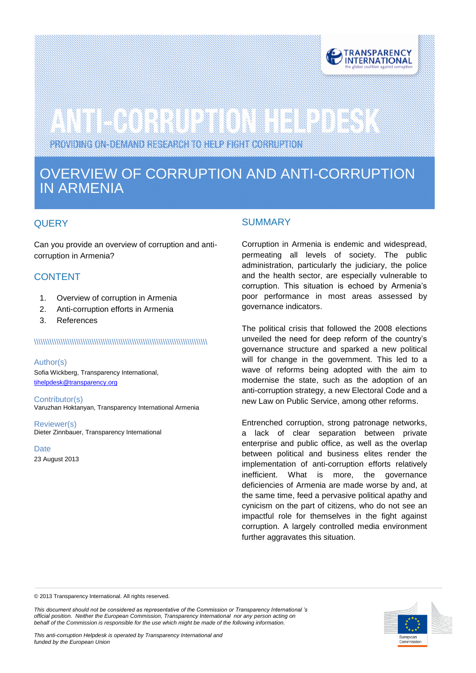

# 

PROVIDING ON-DEMAND RESEARCH TO HELP FIGHT CORRUPTION

# OVERVIEW OF CORRUPTION AND ANTI-CORRUPTION IN ARMENIA

# **QUERY**

zer.

Can you provide an overview of corruption and anticorruption in Armenia?

# **CONTENT**

- 1. Overview of corruption in Armenia
- 2. Anti-corruption efforts in Armenia
- 3. References

# \\\\\\\\\\\\\\\\\\\\\\\\\\\\\\\\\\\\\\\\\\\\\\\\\\\\\\\\\\\\\\\\\\\\\\\\\\\\\\

### Author(s)

Sofia Wickberg, Transparency International, tihelpdesk@transparency.org

Contributor(s) Varuzhan Hoktanyan, Transparency International Armenia

Reviewer(s) Dieter Zinnbauer, Transparency International

**Date** 23 August 2013

## **SUMMARY**

Corruption in Armenia is endemic and widespread, permeating all levels of society. The public administration, particularly the judiciary, the police and the health sector, are especially vulnerable to corruption. This situation is echoed by Armenia's poor performance in most areas assessed by governance indicators.

The political crisis that followed the 2008 elections unveiled the need for deep reform of the country's governance structure and sparked a new political will for change in the government. This led to a wave of reforms being adopted with the aim to modernise the state, such as the adoption of an anti-corruption strategy, a new Electoral Code and a new Law on Public Service, among other reforms.

Entrenched corruption, strong patronage networks, a lack of clear separation between private enterprise and public office, as well as the overlap between political and business elites render the implementation of anti-corruption efforts relatively inefficient. What is more, the governance deficiencies of Armenia are made worse by and, at the same time, feed a pervasive political apathy and cynicism on the part of citizens, who do not see an impactful role for themselves in the fight against corruption. A largely controlled media environment further aggravates this situation.

© 2013 Transparency International. All rights reserved.

*This document should not be considered as representative of the Commission or Transparency International 's official position. Neither the European Commission, Transparency International nor any person acting on behalf of the Commission is responsible for the use which might be made of the following information.* 

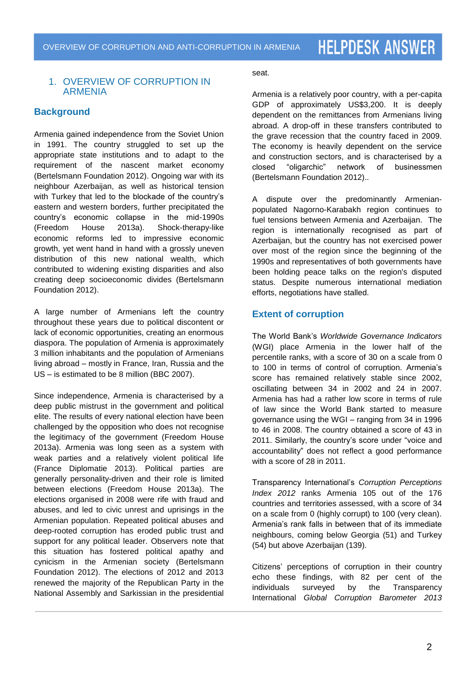# 1. OVERVIEW OF CORRUPTION IN ARMENIA

# **Background**

Armenia gained independence from the Soviet Union in 1991. The country struggled to set up the appropriate state institutions and to adapt to the requirement of the nascent market economy (Bertelsmann Foundation 2012). Ongoing war with its neighbour Azerbaijan, as well as historical tension with Turkey that led to the blockade of the country's eastern and western borders, further precipitated the country's economic collapse in the mid-1990s (Freedom House 2013a). Shock-therapy-like economic reforms led to impressive economic growth, yet went hand in hand with a grossly uneven distribution of this new national wealth, which contributed to widening existing disparities and also creating deep socioeconomic divides (Bertelsmann Foundation 2012).

A large number of Armenians left the country throughout these years due to political discontent or lack of economic opportunities, creating an enormous diaspora. The population of Armenia is approximately 3 million inhabitants and the population of Armenians living abroad – mostly in France, Iran, Russia and the US – is estimated to be 8 million (BBC 2007).

Since independence, Armenia is characterised by a deep public mistrust in the government and political elite. The results of every national election have been challenged by the opposition who does not recognise the legitimacy of the government (Freedom House 2013a). Armenia was long seen as a system with weak parties and a relatively violent political life (France Diplomatie 2013). Political parties are generally personality-driven and their role is limited between elections (Freedom House 2013a). The elections organised in 2008 were rife with fraud and abuses, and led to civic unrest and uprisings in the Armenian population. Repeated political abuses and deep-rooted corruption has eroded public trust and support for any political leader. Observers note that this situation has fostered political apathy and cynicism in the Armenian society (Bertelsmann Foundation 2012). The elections of 2012 and 2013 renewed the majority of the Republican Party in the National Assembly and Sarkissian in the presidential

seat.

Armenia is a relatively poor country, with a per-capita GDP of approximately US\$3,200. It is deeply dependent on the remittances from Armenians living abroad. A drop-off in these transfers contributed to the grave recession that the country faced in 2009. The economy is heavily dependent on the service and construction sectors, and is characterised by a closed "oligarchic" network of businessmen (Bertelsmann Foundation 2012)..

A dispute over the predominantly Armenianpopulated Nagorno-Karabakh region continues to fuel tensions between Armenia and Azerbaijan. The region is internationally recognised as part of Azerbaijan, but the country has not exercised power over most of the region since the beginning of the 1990s and representatives of both governments have been holding peace talks on the region's disputed status. Despite numerous international mediation efforts, negotiations have stalled.

# **Extent of corruption**

The World Bank's *Worldwide Governance Indicators* (WGI) place Armenia in the lower half of the percentile ranks, with a score of 30 on a scale from 0 to 100 in terms of control of corruption. Armenia's score has remained relatively stable since 2002, oscillating between 34 in 2002 and 24 in 2007. Armenia has had a rather low score in terms of rule of law since the World Bank started to measure governance using the WGI – ranging from 34 in 1996 to 46 in 2008. The country obtained a score of 43 in 2011. Similarly, the country's score under "voice and accountability" does not reflect a good performance with a score of 28 in 2011.

Transparency International's *Corruption Perceptions Index 2012* ranks Armenia 105 out of the 176 countries and territories assessed, with a score of 34 on a scale from 0 (highly corrupt) to 100 (very clean). Armenia's rank falls in between that of its immediate neighbours, coming below Georgia (51) and Turkey (54) but above Azerbaijan (139).

Citizens' perceptions of corruption in their country echo these findings, with 82 per cent of the individuals surveyed by the Transparency International *Global Corruption Barometer 2013*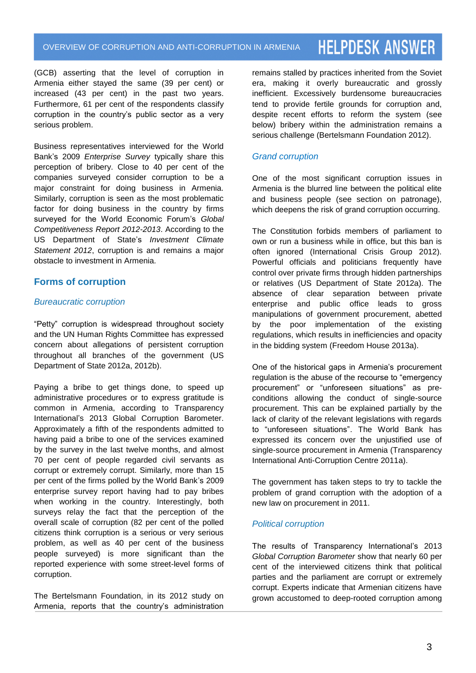(GCB) asserting that the level of corruption in Armenia either stayed the same (39 per cent) or increased (43 per cent) in the past two years. Furthermore, 61 per cent of the respondents classify corruption in the country's public sector as a very serious problem.

Business representatives interviewed for the World Bank's 2009 *Enterprise Survey* typically share this perception of bribery. Close to 40 per cent of the companies surveyed consider corruption to be a major constraint for doing business in Armenia. Similarly, corruption is seen as the most problematic factor for doing business in the country by firms surveyed for the World Economic Forum's *Global Competitiveness Report 2012-2013*. According to the US Department of State's *Investment Climate Statement 2012*, corruption is and remains a major obstacle to investment in Armenia.

# **Forms of corruption**

# *Bureaucratic corruption*

"Petty" corruption is widespread throughout society and the UN Human Rights Committee has expressed concern about allegations of persistent corruption throughout all branches of the government (US Department of State 2012a, 2012b).

Paying a bribe to get things done, to speed up administrative procedures or to express gratitude is common in Armenia, according to Transparency International's 2013 Global Corruption Barometer. Approximately a fifth of the respondents admitted to having paid a bribe to one of the services examined by the survey in the last twelve months, and almost 70 per cent of people regarded civil servants as corrupt or extremely corrupt. Similarly, more than 15 per cent of the firms polled by the World Bank's 2009 enterprise survey report having had to pay bribes when working in the country. Interestingly, both surveys relay the fact that the perception of the overall scale of corruption (82 per cent of the polled citizens think corruption is a serious or very serious problem, as well as 40 per cent of the business people surveyed) is more significant than the reported experience with some street-level forms of corruption.

The Bertelsmann Foundation, in its 2012 study on Armenia, reports that the country's administration remains stalled by practices inherited from the Soviet era, making it overly bureaucratic and grossly inefficient. Excessively burdensome bureaucracies tend to provide fertile grounds for corruption and, despite recent efforts to reform the system (see below) bribery within the administration remains a serious challenge (Bertelsmann Foundation 2012).

# *Grand corruption*

One of the most significant corruption issues in Armenia is the blurred line between the political elite and business people (see section on patronage), which deepens the risk of grand corruption occurring.

The Constitution forbids members of parliament to own or run a business while in office, but this ban is often ignored (International Crisis Group 2012). Powerful officials and politicians frequently have control over private firms through hidden partnerships or relatives (US Department of State 2012a). The absence of clear separation between private enterprise and public office leads to gross manipulations of government procurement, abetted by the poor implementation of the existing regulations, which results in inefficiencies and opacity in the bidding system (Freedom House 2013a).

One of the historical gaps in Armenia's procurement regulation is the abuse of the recourse to "emergency procurement" or "unforeseen situations" as preconditions allowing the conduct of single-source procurement. This can be explained partially by the lack of clarity of the relevant legislations with regards to "unforeseen situations". The World Bank has expressed its concern over the unjustified use of single-source procurement in Armenia (Transparency International Anti-Corruption Centre 2011a).

The government has taken steps to try to tackle the problem of grand corruption with the adoption of a new law on procurement in 2011.

# *Political corruption*

The results of Transparency International's 2013 *Global Corruption Barometer* show that nearly 60 per cent of the interviewed citizens think that political parties and the parliament are corrupt or extremely corrupt. Experts indicate that Armenian citizens have grown accustomed to deep-rooted corruption among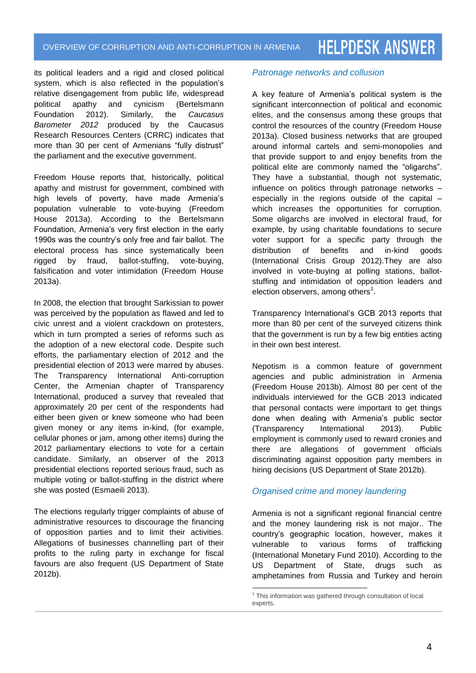its political leaders and a rigid and closed political system, which is also reflected in the population's relative disengagement from public life, widespread political apathy and cynicism (Bertelsmann Foundation 2012). Similarly, the *Caucasus Barometer 2012* produced by the Caucasus Research Resources Centers (CRRC) indicates that more than 30 per cent of Armenians "fully distrust" the parliament and the executive government.

Freedom House reports that, historically, political apathy and mistrust for government, combined with high levels of poverty, have made Armenia's population vulnerable to vote-buying (Freedom House 2013a). According to the Bertelsmann Foundation, Armenia's very first election in the early 1990s was the country's only free and fair ballot. The electoral process has since systematically been rigged by fraud, ballot-stuffing, vote-buying, falsification and voter intimidation (Freedom House 2013a).

In 2008, the election that brought Sarkissian to power was perceived by the population as flawed and led to civic unrest and a violent crackdown on protesters, which in turn prompted a series of reforms such as the adoption of a new electoral code. Despite such efforts, the parliamentary election of 2012 and the presidential election of 2013 were marred by abuses. The Transparency International Anti-corruption Center, the Armenian chapter of Transparency International, produced a survey that revealed that approximately 20 per cent of the respondents had either been given or knew someone who had been given money or any items in-kind, (for example, cellular phones or jam, among other items) during the 2012 parliamentary elections to vote for a certain candidate. Similarly, an observer of the 2013 presidential elections reported serious fraud, such as multiple voting or ballot-stuffing in the district where she was posted (Esmaeili 2013).

The elections regularly trigger complaints of abuse of administrative resources to discourage the financing of opposition parties and to limit their activities. Allegations of businesses channelling part of their profits to the ruling party in exchange for fiscal favours are also frequent (US Department of State 2012b).

## *Patronage networks and collusion*

A key feature of Armenia's political system is the significant interconnection of political and economic elites, and the consensus among these groups that control the resources of the country (Freedom House 2013a). Closed business networks that are grouped around informal cartels and semi-monopolies and that provide support to and enjoy benefits from the political elite are commonly named the "oligarchs". They have a substantial, though not systematic, influence on politics through patronage networks – especially in the regions outside of the capital – which increases the opportunities for corruption. Some oligarchs are involved in electoral fraud, for example, by using charitable foundations to secure voter support for a specific party through the<br>distribution of benefits and in-kind goods distribution of benefits and in-kind goods (International Crisis Group 2012).They are also involved in vote-buying at polling stations, ballotstuffing and intimidation of opposition leaders and election observers, among others $^1$ .

Transparency International's GCB 2013 reports that more than 80 per cent of the surveyed citizens think that the government is run by a few big entities acting in their own best interest.

Nepotism is a common feature of government agencies and public administration in Armenia (Freedom House 2013b). Almost 80 per cent of the individuals interviewed for the GCB 2013 indicated that personal contacts were important to get things done when dealing with Armenia's public sector (Transparency International 2013). Public employment is commonly used to reward cronies and there are allegations of government officials discriminating against opposition party members in hiring decisions (US Department of State 2012b).

# *Organised crime and money laundering*

Armenia is not a significant regional financial centre and the money laundering risk is not major.. The country's geographic location, however, makes it vulnerable to various forms of trafficking (International Monetary Fund 2010). According to the US Department of State, drugs such as amphetamines from Russia and Turkey and heroin

 $\overline{a}$ <sup>1</sup> This information was gathered through consultation of local experts.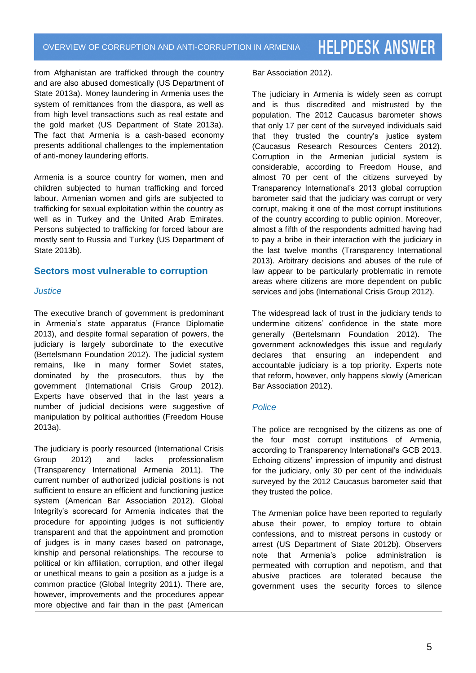from Afghanistan are trafficked through the country and are also abused domestically (US Department of State 2013a). Money laundering in Armenia uses the system of remittances from the diaspora, as well as from high level transactions such as real estate and the gold market (US Department of State 2013a). The fact that Armenia is a cash-based economy presents additional challenges to the implementation of anti-money laundering efforts.

Armenia is a source country for women, men and children subjected to human trafficking and forced labour. Armenian women and girls are subjected to trafficking for sexual exploitation within the country as well as in Turkey and the United Arab Emirates. Persons subjected to trafficking for forced labour are mostly sent to Russia and Turkey (US Department of State 2013b).

# **Sectors most vulnerable to corruption**

#### *Justice*

The executive branch of government is predominant in Armenia's state apparatus (France Diplomatie 2013), and despite formal separation of powers, the judiciary is largely subordinate to the executive (Bertelsmann Foundation 2012). The judicial system remains, like in many former Soviet states, dominated by the prosecutors, thus by the government (International Crisis Group 2012). Experts have observed that in the last years a number of judicial decisions were suggestive of manipulation by political authorities (Freedom House 2013a).

The judiciary is poorly resourced (International Crisis Group 2012) and lacks professionalism (Transparency International Armenia 2011). The current number of authorized judicial positions is not sufficient to ensure an efficient and functioning justice system (American Bar Association 2012). Global Integrity's scorecard for Armenia indicates that the procedure for appointing judges is not sufficiently transparent and that the appointment and promotion of judges is in many cases based on patronage, kinship and personal relationships. The recourse to political or kin affiliation, corruption, and other illegal or unethical means to gain a position as a judge is a common practice (Global Integrity 2011). There are, however, improvements and the procedures appear more objective and fair than in the past (American

Bar Association 2012).

The judiciary in Armenia is widely seen as corrupt and is thus discredited and mistrusted by the population. The 2012 Caucasus barometer shows that only 17 per cent of the surveyed individuals said that they trusted the country's justice system (Caucasus Research Resources Centers 2012). Corruption in the Armenian judicial system is considerable, according to Freedom House, and almost 70 per cent of the citizens surveyed by Transparency International's 2013 global corruption barometer said that the judiciary was corrupt or very corrupt, making it one of the most corrupt institutions of the country according to public opinion. Moreover, almost a fifth of the respondents admitted having had to pay a bribe in their interaction with the judiciary in the last twelve months (Transparency International 2013). Arbitrary decisions and abuses of the rule of law appear to be particularly problematic in remote areas where citizens are more dependent on public services and jobs (International Crisis Group 2012).

The widespread lack of trust in the judiciary tends to undermine citizens' confidence in the state more generally (Bertelsmann Foundation 2012). The government acknowledges this issue and regularly declares that ensuring an independent and accountable judiciary is a top priority. Experts note that reform, however, only happens slowly (American Bar Association 2012).

### *Police*

The police are recognised by the citizens as one of the four most corrupt institutions of Armenia, according to Transparency International's GCB 2013. Echoing citizens' impression of impunity and distrust for the judiciary, only 30 per cent of the individuals surveyed by the 2012 Caucasus barometer said that they trusted the police.

The Armenian police have been reported to regularly abuse their power, to employ torture to obtain confessions, and to mistreat persons in custody or arrest (US Department of State 2012b). Observers note that Armenia's police administration is permeated with corruption and nepotism, and that abusive practices are tolerated because the government uses the security forces to silence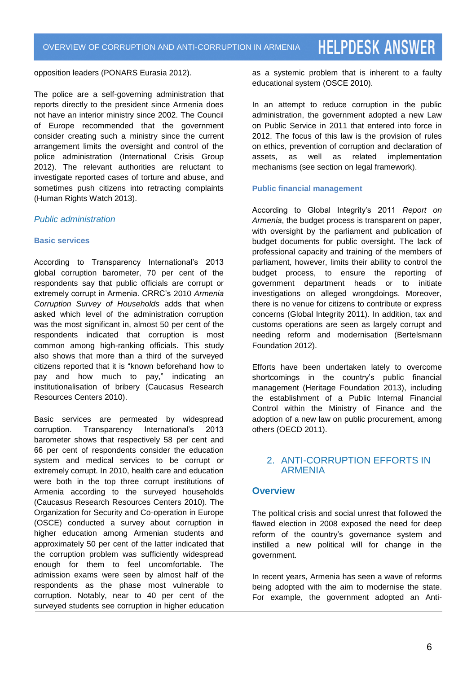opposition leaders (PONARS Eurasia 2012).

The police are a self-governing administration that reports directly to the president since Armenia does not have an interior ministry since 2002. The Council of Europe recommended that the government consider creating such a ministry since the current arrangement limits the oversight and control of the police administration (International Crisis Group 2012). The relevant authorities are reluctant to investigate reported cases of torture and abuse, and sometimes push citizens into retracting complaints (Human Rights Watch 2013).

# *Public administration*

#### **Basic services**

According to Transparency International's 2013 global corruption barometer, 70 per cent of the respondents say that public officials are corrupt or extremely corrupt in Armenia. CRRC's 2010 *Armenia Corruption Survey of Households* adds that when asked which level of the administration corruption was the most significant in, almost 50 per cent of the respondents indicated that corruption is most common among high-ranking officials. This study also shows that more than a third of the surveyed citizens reported that it is "known beforehand how to pay and how much to pay," indicating an institutionalisation of bribery (Caucasus Research Resources Centers 2010).

Basic services are permeated by widespread corruption. Transparency International's 2013 barometer shows that respectively 58 per cent and 66 per cent of respondents consider the education system and medical services to be corrupt or extremely corrupt. In 2010, health care and education were both in the top three corrupt institutions of Armenia according to the surveyed households (Caucasus Research Resources Centers 2010). The Organization for Security and Co-operation in Europe (OSCE) conducted a survey about corruption in higher education among Armenian students and approximately 50 per cent of the latter indicated that the corruption problem was sufficiently widespread enough for them to feel uncomfortable. The admission exams were seen by almost half of the respondents as the phase most vulnerable to corruption. Notably, near to 40 per cent of the surveyed students see corruption in higher education

as a systemic problem that is inherent to a faulty educational system (OSCE 2010).

In an attempt to reduce corruption in the public administration, the government adopted a new Law on Public Service in 2011 that entered into force in 2012. The focus of this law is the provision of rules on ethics, prevention of corruption and declaration of assets, as well as related implementation mechanisms (see section on legal framework).

#### **Public financial management**

According to Global Integrity's 2011 *Report on Armenia*, the budget process is transparent on paper, with oversight by the parliament and publication of budget documents for public oversight. The lack of professional capacity and training of the members of parliament, however, limits their ability to control the budget process, to ensure the reporting of government department heads or to initiate investigations on alleged wrongdoings. Moreover, there is no venue for citizens to contribute or express concerns (Global Integrity 2011). In addition, tax and customs operations are seen as largely corrupt and needing reform and modernisation (Bertelsmann Foundation 2012).

Efforts have been undertaken lately to overcome shortcomings in the country's public financial management (Heritage Foundation 2013), including the establishment of a Public Internal Financial Control within the Ministry of Finance and the adoption of a new law on public procurement, among others (OECD 2011).

# 2. ANTI-CORRUPTION EFFORTS IN ARMENIA

# **Overview**

The political crisis and social unrest that followed the flawed election in 2008 exposed the need for deep reform of the country's governance system and instilled a new political will for change in the government.

In recent years, Armenia has seen a wave of reforms being adopted with the aim to modernise the state. For example, the government adopted an Anti-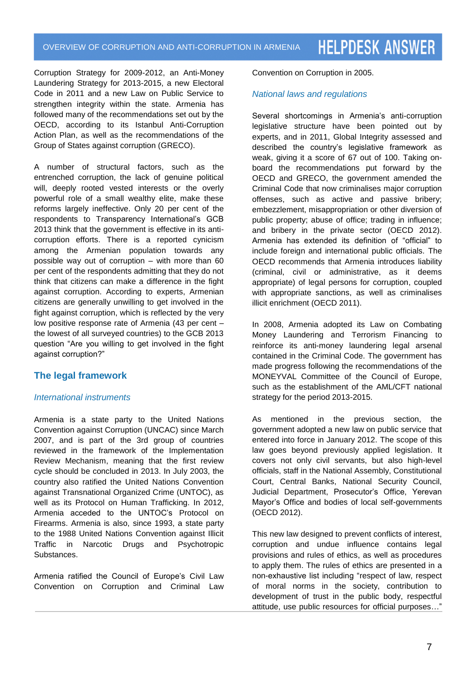Corruption Strategy for 2009-2012, an Anti-Money Laundering Strategy for 2013-2015, a new Electoral Code in 2011 and a new Law on Public Service to strengthen integrity within the state. Armenia has followed many of the recommendations set out by the OECD, according to its Istanbul Anti-Corruption Action Plan, as well as the recommendations of the Group of States against corruption (GRECO).

A number of structural factors, such as the entrenched corruption, the lack of genuine political will, deeply rooted vested interests or the overly powerful role of a small wealthy elite, make these reforms largely ineffective. Only 20 per cent of the respondents to Transparency International's GCB 2013 think that the government is effective in its anticorruption efforts. There is a reported cynicism among the Armenian population towards any possible way out of corruption – with more than 60 per cent of the respondents admitting that they do not think that citizens can make a difference in the fight against corruption. According to experts, Armenian citizens are generally unwilling to get involved in the fight against corruption, which is reflected by the very low positive response rate of Armenia (43 per cent – the lowest of all surveyed countries) to the GCB 2013 question "Are you willing to get involved in the fight against corruption?"

# **The legal framework**

# *International instruments*

Armenia is a state party to the United Nations Convention against Corruption (UNCAC) since March 2007, and is part of the 3rd group of countries reviewed in the framework of the Implementation Review Mechanism, meaning that the first review cycle should be concluded in 2013. In July 2003, the country also ratified the United Nations Convention against Transnational Organized Crime (UNTOC), as well as its Protocol on Human Trafficking. In 2012, Armenia acceded to the UNTOC's Protocol on Firearms. Armenia is also, since 1993, a state party to the 1988 United Nations Convention against Illicit Traffic in Narcotic Drugs and Psychotropic Substances.

Armenia ratified the Council of Europe's Civil Law Convention on Corruption and Criminal Law Convention on Corruption in 2005.

# *National laws and regulations*

Several shortcomings in Armenia's anti-corruption legislative structure have been pointed out by experts, and in 2011, Global Integrity assessed and described the country's legislative framework as weak, giving it a score of 67 out of 100. Taking onboard the recommendations put forward by the OECD and GRECO, the government amended the Criminal Code that now criminalises major corruption offenses, such as active and passive bribery; embezzlement, misappropriation or other diversion of public property; abuse of office; trading in influence; and bribery in the private sector (OECD 2012). Armenia has extended its definition of "official" to include foreign and international public officials. The OECD recommends that Armenia introduces liability (criminal, civil or administrative, as it deems appropriate) of legal persons for corruption, coupled with appropriate sanctions, as well as criminalises illicit enrichment (OECD 2011).

In 2008, Armenia adopted its Law on Combating Money Laundering and Terrorism Financing to reinforce its anti-money laundering legal arsenal contained in the Criminal Code. The government has made progress following the recommendations of the MONEYVAL Committee of the Council of Europe, such as the establishment of the AML/CFT national strategy for the period 2013-2015.

As mentioned in the previous section, the government adopted a new law on public service that entered into force in January 2012. The scope of this law goes beyond previously applied legislation. It covers not only civil servants, but also high-level officials, staff in the National Assembly, Constitutional Court, Central Banks, National Security Council, Judicial Department, Prosecutor's Office, Yerevan Mayor's Office and bodies of local self-governments (OECD 2012).

This new law designed to prevent conflicts of interest, corruption and undue influence contains legal provisions and rules of ethics, as well as procedures to apply them. The rules of ethics are presented in a non-exhaustive list including "respect of law, respect of moral norms in the society, contribution to development of trust in the public body, respectful attitude, use public resources for official purposes…"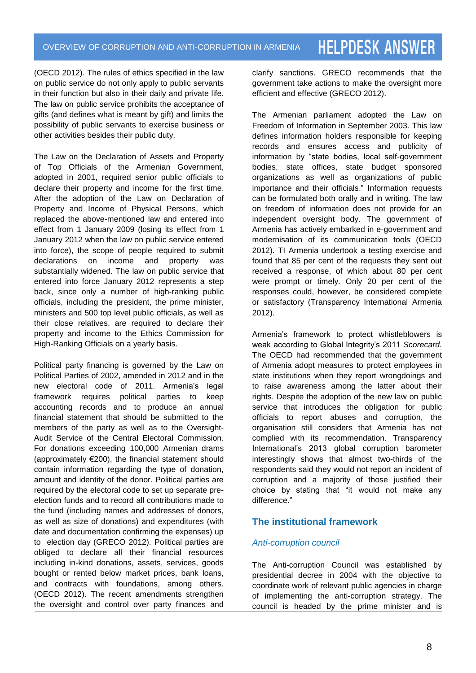(OECD 2012). The rules of ethics specified in the law on public service do not only apply to public servants in their function but also in their daily and private life. The law on public service prohibits the acceptance of gifts (and defines what is meant by gift) and limits the possibility of public servants to exercise business or other activities besides their public duty.

The Law on the Declaration of Assets and Property of Top Officials of the Armenian Government, adopted in 2001, required senior public officials to declare their property and income for the first time. After the adoption of the Law on Declaration of Property and Income of Physical Persons, which replaced the above-mentioned law and entered into effect from 1 January 2009 (losing its effect from 1 January 2012 when the law on public service entered into force), the scope of people required to submit declarations on income and property was substantially widened. The law on public service that entered into force January 2012 represents a step back, since only a number of high-ranking public officials, including the president, the prime minister, ministers and 500 top level public officials, as well as their close relatives, are required to declare their property and income to the Ethics Commission for High-Ranking Officials on a yearly basis.

Political party financing is governed by the Law on Political Parties of 2002, amended in 2012 and in the new electoral code of 2011. Armenia's legal framework requires political parties to keep accounting records and to produce an annual financial statement that should be submitted to the members of the party as well as to the Oversight-Audit Service of the Central Electoral Commission. For donations exceeding 100,000 Armenian drams (approximately €200), the financial statement should contain information regarding the type of donation, amount and identity of the donor. Political parties are required by the electoral code to set up separate preelection funds and to record all contributions made to the fund (including names and addresses of donors, as well as size of donations) and expenditures (with date and documentation confirming the expenses) up to election day (GRECO 2012). Political parties are obliged to declare all their financial resources including in-kind donations, assets, services, goods bought or rented below market prices, bank loans, and contracts with foundations, among others. (OECD 2012). The recent amendments strengthen the oversight and control over party finances and

clarify sanctions. GRECO recommends that the government take actions to make the oversight more efficient and effective (GRECO 2012).

The Armenian parliament adopted the Law on Freedom of Information in September 2003. This law defines information holders responsible for keeping records and ensures access and publicity of information by "state bodies, local self-government bodies, state offices, state budget sponsored organizations as well as organizations of public importance and their officials." Information requests can be formulated both orally and in writing. The law on freedom of information does not provide for an independent oversight body. The government of Armenia has actively embarked in e-government and modernisation of its communication tools (OECD 2012). TI Armenia undertook a testing exercise and found that 85 per cent of the requests they sent out received a response, of which about 80 per cent were prompt or timely. Only 20 per cent of the responses could, however, be considered complete or satisfactory (Transparency International Armenia 2012).

Armenia's framework to protect whistleblowers is weak according to Global Integrity's 2011 *Scorecard*. The OECD had recommended that the government of Armenia adopt measures to protect employees in state institutions when they report wrongdoings and to raise awareness among the latter about their rights. Despite the adoption of the new law on public service that introduces the obligation for public officials to report abuses and corruption, the organisation still considers that Armenia has not complied with its recommendation. Transparency International's 2013 global corruption barometer interestingly shows that almost two-thirds of the respondents said they would not report an incident of corruption and a majority of those justified their choice by stating that "it would not make any difference."

# **The institutional framework**

# *Anti-corruption council*

The Anti-corruption Council was established by presidential decree in 2004 with the objective to coordinate work of relevant public agencies in charge of implementing the anti-corruption strategy. The council is headed by the prime minister and is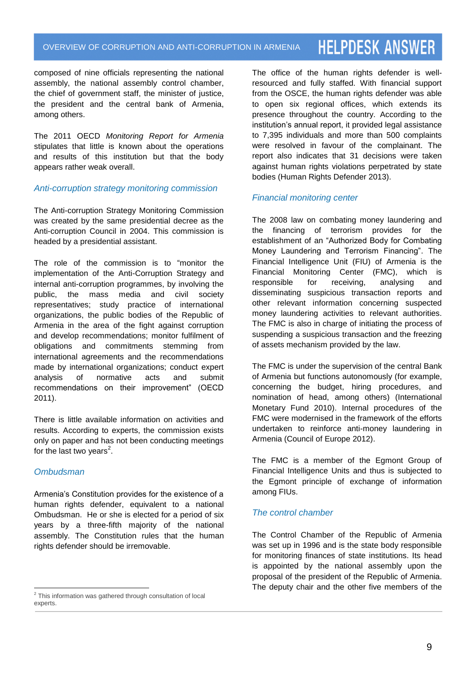composed of nine officials representing the national assembly, the national assembly control chamber, the chief of government staff, the minister of justice, the president and the central bank of Armenia, among others.

The 2011 OECD *Monitoring Report for Armenia* stipulates that little is known about the operations and results of this institution but that the body appears rather weak overall.

### *Anti-corruption strategy monitoring commission*

The Anti-corruption Strategy Monitoring Commission was created by the same presidential decree as the Anti-corruption Council in 2004. This commission is headed by a presidential assistant.

The role of the commission is to "monitor the implementation of the Anti-Corruption Strategy and internal anti-corruption programmes, by involving the public, the mass media and civil society representatives; study practice of international organizations, the public bodies of the Republic of Armenia in the area of the fight against corruption and develop recommendations; monitor fulfilment of obligations and commitments stemming from international agreements and the recommendations made by international organizations; conduct expert analysis of normative acts and submit recommendations on their improvement" (OECD 2011).

There is little available information on activities and results. According to experts, the commission exists only on paper and has not been conducting meetings for the last two years<sup>2</sup>.

# *Ombudsman*

Armenia's Constitution provides for the existence of a human rights defender, equivalent to a national Ombudsman. He or she is elected for a period of six years by a three-fifth majority of the national assembly. The Constitution rules that the human rights defender should be irremovable.

The office of the human rights defender is wellresourced and fully staffed. With financial support from the OSCE, the human rights defender was able to open six regional offices, which extends its presence throughout the country. According to the institution's annual report, it provided legal assistance to 7,395 individuals and more than 500 complaints were resolved in favour of the complainant. The report also indicates that 31 decisions were taken against human rights violations perpetrated by state bodies (Human Rights Defender 2013).

## *Financial monitoring center*

The 2008 law on combating money laundering and the financing of terrorism provides for the establishment of an "Authorized Body for Combating Money Laundering and Terrorism Financing". The Financial Intelligence Unit (FIU) of Armenia is the Financial Monitoring Center (FMC), which is responsible for receiving, analysing and disseminating suspicious transaction reports and other relevant information concerning suspected money laundering activities to relevant authorities. The FMC is also in charge of initiating the process of suspending a suspicious transaction and the freezing of assets mechanism provided by the law.

The FMC is under the supervision of the central Bank of Armenia but functions autonomously (for example, concerning the budget, hiring procedures, and nomination of head, among others) (International Monetary Fund 2010). Internal procedures of the FMC were modernised in the framework of the efforts undertaken to reinforce anti-money laundering in Armenia (Council of Europe 2012).

The FMC is a member of the Egmont Group of Financial Intelligence Units and thus is subjected to the Egmont principle of exchange of information among FIUs.

# *The control chamber*

The Control Chamber of the Republic of Armenia was set up in 1996 and is the state body responsible for monitoring finances of state institutions. Its head is appointed by the national assembly upon the proposal of the president of the Republic of Armenia. The deputy chair and the other five members of the

 $\overline{a}^2$  This information was gathered through consultation of local experts.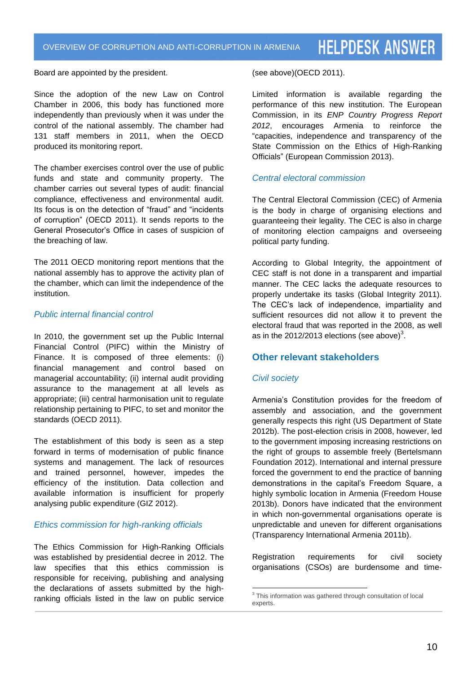Board are appointed by the president.

Since the adoption of the new Law on Control Chamber in 2006, this body has functioned more independently than previously when it was under the control of the national assembly. The chamber had 131 staff members in 2011, when the OECD produced its monitoring report.

The chamber exercises control over the use of public funds and state and community property. The chamber carries out several types of audit: financial compliance, effectiveness and environmental audit. Its focus is on the detection of "fraud" and "incidents of corruption" (OECD 2011). It sends reports to the General Prosecutor's Office in cases of suspicion of the breaching of law.

The 2011 OECD monitoring report mentions that the national assembly has to approve the activity plan of the chamber, which can limit the independence of the institution.

### *Public internal financial control*

In 2010, the government set up the Public Internal Financial Control (PIFC) within the Ministry of Finance. It is composed of three elements: (i) financial management and control based on managerial accountability; (ii) internal audit providing assurance to the management at all levels as appropriate; (iii) central harmonisation unit to regulate relationship pertaining to PIFC, to set and monitor the standards (OECD 2011).

The establishment of this body is seen as a step forward in terms of modernisation of public finance systems and management. The lack of resources and trained personnel, however, impedes the efficiency of the institution. Data collection and available information is insufficient for properly analysing public expenditure (GIZ 2012).

### *Ethics commission for high-ranking officials*

The Ethics Commission for High-Ranking Officials was established by presidential decree in 2012. The law specifies that this ethics commission is responsible for receiving, publishing and analysing the declarations of assets submitted by the highranking officials listed in the law on public service

#### (see above)(OECD 2011).

Limited information is available regarding the performance of this new institution. The European Commission, in its *ENP Country Progress Report 2012*, encourages Armenia to reinforce the "capacities, independence and transparency of the State Commission on the Ethics of High-Ranking Officials" (European Commission 2013).

### *Central electoral commission*

The Central Electoral Commission (CEC) of Armenia is the body in charge of organising elections and guaranteeing their legality. The CEC is also in charge of monitoring election campaigns and overseeing political party funding.

According to Global Integrity, the appointment of CEC staff is not done in a transparent and impartial manner. The CEC lacks the adequate resources to properly undertake its tasks (Global Integrity 2011). The CEC's lack of independence, impartiality and sufficient resources did not allow it to prevent the electoral fraud that was reported in the 2008, as well as in the 2012/2013 elections (see above) $^3\!\!$ .

### **Other relevant stakeholders**

### *Civil society*

Armenia's Constitution provides for the freedom of assembly and association, and the government generally respects this right (US Department of State 2012b). The post-election crisis in 2008, however, led to the government imposing increasing restrictions on the right of groups to assemble freely (Bertelsmann Foundation 2012). International and internal pressure forced the government to end the practice of banning demonstrations in the capital's Freedom Square, a highly symbolic location in Armenia (Freedom House 2013b). Donors have indicated that the environment in which non-governmental organisations operate is unpredictable and uneven for different organisations (Transparency International Armenia 2011b).

Registration requirements for civil society organisations (CSOs) are burdensome and time-

 $\overline{a}$ <sup>3</sup> This information was gathered through consultation of local experts.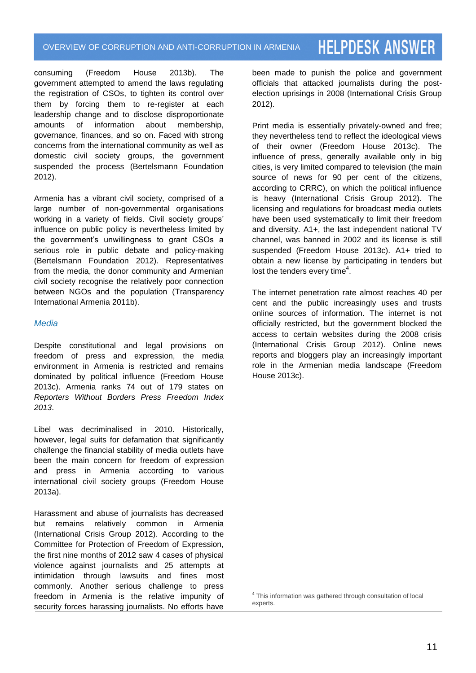consuming (Freedom House 2013b). The government attempted to amend the laws regulating the registration of CSOs, to tighten its control over them by forcing them to re-register at each leadership change and to disclose disproportionate amounts of information about membership, governance, finances, and so on. Faced with strong concerns from the international community as well as domestic civil society groups, the government suspended the process (Bertelsmann Foundation 2012).

Armenia has a vibrant civil society, comprised of a large number of non-governmental organisations working in a variety of fields. Civil society groups' influence on public policy is nevertheless limited by the government's unwillingness to grant CSOs a serious role in public debate and policy-making (Bertelsmann Foundation 2012). Representatives from the media, the donor community and Armenian civil society recognise the relatively poor connection between NGOs and the population (Transparency International Armenia 2011b).

# *Media*

Despite constitutional and legal provisions on freedom of press and expression, the media environment in Armenia is restricted and remains dominated by political influence (Freedom House 2013c). Armenia ranks 74 out of 179 states on *Reporters Without Borders Press Freedom Index 2013*.

Libel was decriminalised in 2010. Historically, however, legal suits for defamation that significantly challenge the financial stability of media outlets have been the main concern for freedom of expression and press in Armenia according to various international civil society groups (Freedom House 2013a).

Harassment and abuse of journalists has decreased but remains relatively common in Armenia (International Crisis Group 2012). According to the Committee for Protection of Freedom of Expression, the first nine months of 2012 saw 4 cases of physical violence against journalists and 25 attempts at intimidation through lawsuits and fines most commonly. Another serious challenge to press freedom in Armenia is the relative impunity of security forces harassing journalists. No efforts have been made to punish the police and government officials that attacked journalists during the postelection uprisings in 2008 (International Crisis Group 2012).

Print media is essentially privately-owned and free; they nevertheless tend to reflect the ideological views of their owner (Freedom House 2013c). The influence of press, generally available only in big cities, is very limited compared to television (the main source of news for 90 per cent of the citizens, according to CRRC), on which the political influence is heavy (International Crisis Group 2012). The licensing and regulations for broadcast media outlets have been used systematically to limit their freedom and diversity. A1+, the last independent national TV channel, was banned in 2002 and its license is still suspended (Freedom House 2013c). A1+ tried to obtain a new license by participating in tenders but lost the tenders every time<sup>4</sup>.

The internet penetration rate almost reaches 40 per cent and the public increasingly uses and trusts online sources of information. The internet is not officially restricted, but the government blocked the access to certain websites during the 2008 crisis (International Crisis Group 2012). Online news reports and bloggers play an increasingly important role in the Armenian media landscape (Freedom House 2013c).

 $\overline{a}$ <sup>4</sup> This information was gathered through consultation of local experts.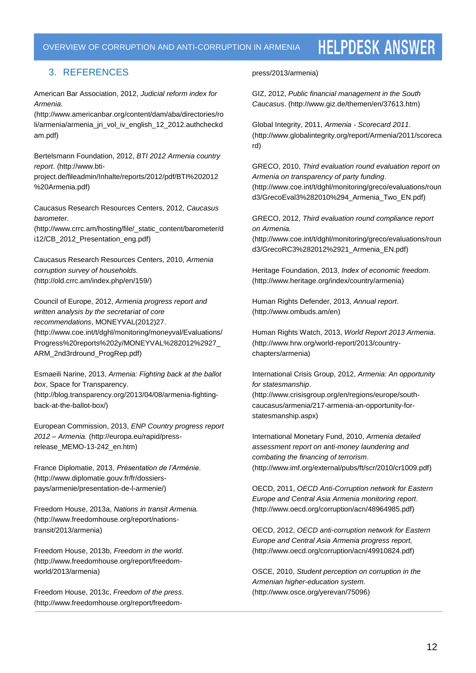### OVERVIEW OF CORRUPTION AND ANTI-CORRUPTION IN ARMENIA

# **HELPDESK ANSWER**

# 3. REFERENCES

American Bar Association, 2012, *Judicial reform index for Armenia.*

(http://www.americanbar.org/content/dam/aba/directories/ro li/armenia/armenia\_jri\_vol\_iv\_english\_12\_2012.authcheckd am.pdf)

Bertelsmann Foundation, 2012, *BTI 2012 Armenia country report*. (http://www.btiproject.de/fileadmin/Inhalte/reports/2012/pdf/BTI%202012 %20Armenia.pdf)

Caucasus Research Resources Centers, 2012, *Caucasus barometer.*

(http://www.crrc.am/hosting/file/\_static\_content/barometer/d i12/CB\_2012\_Presentation\_eng.pdf)

Caucasus Research Resources Centers, 2010, *Armenia corruption survey of households.* (http://old.crrc.am/index.php/en/159/)

Council of Europe, 2012, *Armenia progress report and written analysis by the secretariat of core recommendations*, MONEYVAL(2012)27. (http://www.coe.int/t/dghl/monitoring/moneyval/Evaluations/ Progress%20reports%202y/MONEYVAL%282012%2927\_

ARM\_2nd3rdround\_ProgRep.pdf)

Esmaeili Narine, 2013, *Armenia: Fighting back at the ballot box*, Space for Transparency. (http://blog.transparency.org/2013/04/08/armenia-fightingback-at-the-ballot-box/)

European Commission, 2013, *ENP Country progress report 2012 – Armenia.* (http://europa.eu/rapid/pressrelease\_MEMO-13-242\_en.htm)

France Diplomatie, 2013, *Présentation de l'Arménie*. (http://www.diplomatie.gouv.fr/fr/dossierspays/armenie/presentation-de-l-armenie/)

Freedom House, 2013a, *Nations in transit Armenia.* (http://www.freedomhouse.org/report/nationstransit/2013/armenia)

Freedom House, 2013b, *Freedom in the world*. (http://www.freedomhouse.org/report/freedomworld/2013/armenia)

Freedom House, 2013c, *Freedom of the press*. (http://www.freedomhouse.org/report/freedom-

#### press/2013/armenia)

GIZ, 2012, *Public financial management in the South Caucasus*. (http://www.giz.de/themen/en/37613.htm)

Global Integrity, 2011, *Armenia - Scorecard 2011*. (http://www.globalintegrity.org/report/Armenia/2011/scoreca rd)

GRECO, 2010, *Third evaluation round evaluation report on Armenia on transparency of party funding*. (http://www.coe.int/t/dghl/monitoring/greco/evaluations/roun d3/GrecoEval3%282010%294\_Armenia\_Two\_EN.pdf)

GRECO, 2012, *Third evaluation round compliance report on Armenia.*

(http://www.coe.int/t/dghl/monitoring/greco/evaluations/roun d3/GrecoRC3%282012%2921\_Armenia\_EN.pdf)

Heritage Foundation, 2013, *Index of economic freedom*. (http://www.heritage.org/index/country/armenia)

Human Rights Defender, 2013, *Annual report*. (http://www.ombuds.am/en)

Human Rights Watch, 2013, *World Report 2013 Armenia*. (http://www.hrw.org/world-report/2013/countrychapters/armenia)

International Crisis Group, 2012, *Armenia: An opportunity for statesmanship*. (http://www.crisisgroup.org/en/regions/europe/south-

caucasus/armenia/217-armenia-an-opportunity-forstatesmanship.aspx)

International Monetary Fund, 2010, *Armenia detailed assessment report on anti-money laundering and combating the financing of terrorism*. (http://www.imf.org/external/pubs/ft/scr/2010/cr1009.pdf)

OECD, 2011, *OECD Anti-Corruption network for Eastern Europe and Central Asia Armenia monitoring report*. (http://www.oecd.org/corruption/acn/48964985.pdf)

OECD, 2012, *OECD anti-corruption network for Eastern Europe and Central Asia Armenia progress report,*  (http://www.oecd.org/corruption/acn/49910824.pdf)

OSCE, 2010, *Student perception on corruption in the Armenian higher-education system*. (http://www.osce.org/yerevan/75096)